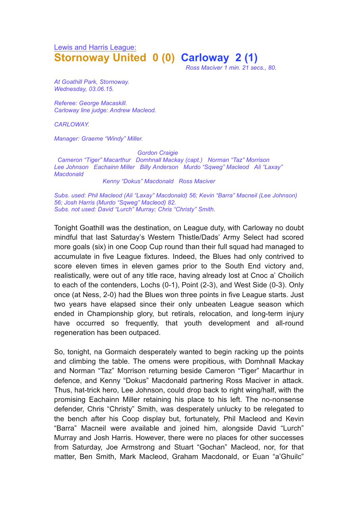# Lewis and Harris League: **Stornoway United 0 (0) Carloway 2 (1)**

*Ross Maciver 1 min. 21 secs., 80.*

*At Goathill Park, Stornoway. Wednesday, 03.06.15.*

*Referee: George Macaskill. Carloway line judge: Andrew Macleod.*

*CARLOWAY.*

*Manager: Graeme "Windy" Miller.*

*Gordon Craigie*

*Cameron "Tiger" Macarthur Domhnall Mackay (capt.) Norman "Taz" Morrison Lee Johnson Eachainn Miller Billy Anderson Murdo "Sqweg" Macleod Ali "Laxay" Macdonald*

#### *Kenny "Dokus" Macdonald Ross Maciver*

*Subs. used: Phil Macleod (Ali "Laxay" Macdonald) 56; Kevin "Barra" Macneil (Lee Johnson) 56; Josh Harris (Murdo "Sqweg" Macleod) 82. Subs. not used: David "Lurch" Murray; Chris "Christy" Smith.*

Tonight Goathill was the destination, on League duty, with Carloway no doubt mindful that last Saturday's Western Thistle/Dads' Army Select had scored more goals (six) in one Coop Cup round than their full squad had managed to accumulate in five League fixtures. Indeed, the Blues had only contrived to score eleven times in eleven games prior to the South End victory and, realistically, were out of any title race, having already lost at Cnoc a' Choilich to each of the contenders, Lochs (0-1), Point (2-3), and West Side (0-3). Only once (at Ness, 2-0) had the Blues won three points in five League starts. Just two years have elapsed since their only unbeaten League season which ended in Championship glory, but retirals, relocation, and long-term injury have occurred so frequently, that youth development and all-round regeneration has been outpaced.

So, tonight, na Gormaich desperately wanted to begin racking up the points and climbing the table. The omens were propitious, with Domhnall Mackay and Norman "Taz" Morrison returning beside Cameron "Tiger" Macarthur in defence, and Kenny "Dokus" Macdonald partnering Ross Maciver in attack. Thus, hat-trick hero, Lee Johnson, could drop back to right wing/half, with the promising Eachainn Miller retaining his place to his left. The no-nonsense defender, Chris "Christy" Smith, was desperately unlucky to be relegated to the bench after his Coop display but, fortunately, Phil Macleod and Kevin "Barra" Macneil were available and joined him, alongside David "Lurch" Murray and Josh Harris. However, there were no places for other successes from Saturday, Joe Armstrong and Stuart "Gochan" Macleod, nor, for that matter, Ben Smith, Mark Macleod, Graham Macdonald, or Euan "a'Ghuilc"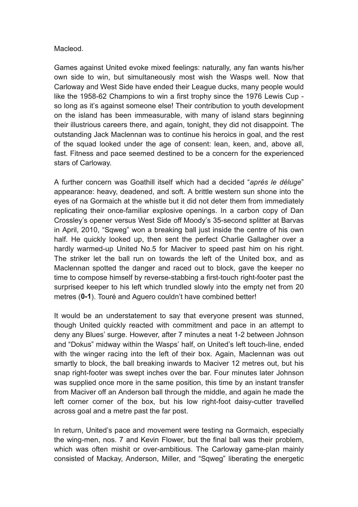## Macleod.

Games against United evoke mixed feelings: naturally, any fan wants his/her own side to win, but simultaneously most wish the Wasps well. Now that Carloway and West Side have ended their League ducks, many people would like the 1958-62 Champions to win a first trophy since the 1976 Lewis Cup so long as it's against someone else! Their contribution to youth development on the island has been immeasurable, with many of island stars beginning their illustrious careers there, and again, tonight, they did not disappoint. The outstanding Jack Maclennan was to continue his heroics in goal, and the rest of the squad looked under the age of consent: lean, keen, and, above all, fast. Fitness and pace seemed destined to be a concern for the experienced stars of Carloway.

A further concern was Goathill itself which had a decided "*aprés le déluge*" appearance: heavy, deadened, and soft. A brittle western sun shone into the eyes of na Gormaich at the whistle but it did not deter them from immediately replicating their once-familiar explosive openings. In a carbon copy of Dan Crossley's opener versus West Side off Moody's 35-second splitter at Barvas in April, 2010, "Sqweg" won a breaking ball just inside the centre of his own half. He quickly looked up, then sent the perfect Charlie Gallagher over a hardly warmed-up United No.5 for Maciver to speed past him on his right. The striker let the ball run on towards the left of the United box, and as Maclennan spotted the danger and raced out to block, gave the keeper no time to compose himself by reverse-stabbing a first-touch right-footer past the surprised keeper to his left which trundled slowly into the empty net from 20 metres (**0-1**). Touré and Aguero couldn't have combined better!

It would be an understatement to say that everyone present was stunned, though United quickly reacted with commitment and pace in an attempt to deny any Blues' surge. However, after 7 minutes a neat 1-2 between Johnson and "Dokus" midway within the Wasps' half, on United's left touch-line, ended with the winger racing into the left of their box. Again, Maclennan was out smartly to block, the ball breaking inwards to Maciver 12 metres out, but his snap right-footer was swept inches over the bar. Four minutes later Johnson was supplied once more in the same position, this time by an instant transfer from Maciver off an Anderson ball through the middle, and again he made the left corner corner of the box, but his low right-foot daisy-cutter travelled across goal and a metre past the far post.

In return, United's pace and movement were testing na Gormaich, especially the wing-men, nos. 7 and Kevin Flower, but the final ball was their problem, which was often mishit or over-ambitious. The Carloway game-plan mainly consisted of Mackay, Anderson, Miller, and "Sqweg" liberating the energetic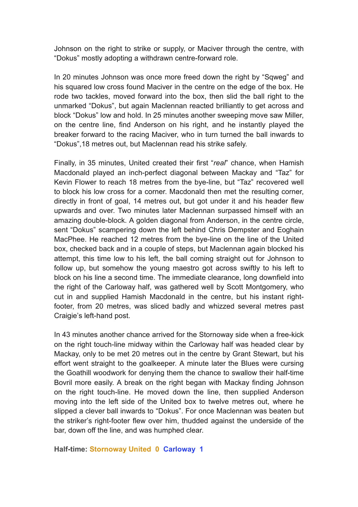Johnson on the right to strike or supply, or Maciver through the centre, with "Dokus" mostly adopting a withdrawn centre-forward role.

In 20 minutes Johnson was once more freed down the right by "Sqweg" and his squared low cross found Maciver in the centre on the edge of the box. He rode two tackles, moved forward into the box, then slid the ball right to the unmarked "Dokus", but again Maclennan reacted brilliantly to get across and block "Dokus" low and hold. In 25 minutes another sweeping move saw Miller, on the centre line, find Anderson on his right, and he instantly played the breaker forward to the racing Maciver, who in turn turned the ball inwards to "Dokus",18 metres out, but Maclennan read his strike safely.

Finally, in 35 minutes, United created their first "*real*" chance, when Hamish Macdonald played an inch-perfect diagonal between Mackay and "Taz" for Kevin Flower to reach 18 metres from the bye-line, but "Taz" recovered well to block his low cross for a corner. Macdonald then met the resulting corner, directly in front of goal, 14 metres out, but got under it and his header flew upwards and over. Two minutes later Maclennan surpassed himself with an amazing double-block. A golden diagonal from Anderson, in the centre circle, sent "Dokus" scampering down the left behind Chris Dempster and Eoghain MacPhee. He reached 12 metres from the bye-line on the line of the United box, checked back and in a couple of steps, but Maclennan again blocked his attempt, this time low to his left, the ball coming straight out for Johnson to follow up, but somehow the young maestro got across swiftly to his left to block on his line a second time. The immediate clearance, long downfield into the right of the Carloway half, was gathered well by Scott Montgomery, who cut in and supplied Hamish Macdonald in the centre, but his instant rightfooter, from 20 metres, was sliced badly and whizzed several metres past Craigie's left-hand post.

In 43 minutes another chance arrived for the Stornoway side when a free-kick on the right touch-line midway within the Carloway half was headed clear by Mackay, only to be met 20 metres out in the centre by Grant Stewart, but his effort went straight to the goalkeeper. A minute later the Blues were cursing the Goathill woodwork for denying them the chance to swallow their half-time Bovril more easily. A break on the right began with Mackay finding Johnson on the right touch-line. He moved down the line, then supplied Anderson moving into the left side of the United box to twelve metres out, where he slipped a clever ball inwards to "Dokus". For once Maclennan was beaten but the striker's right-footer flew over him, thudded against the underside of the bar, down off the line, and was humphed clear.

#### **Half-time: Stornoway United 0 Carloway 1**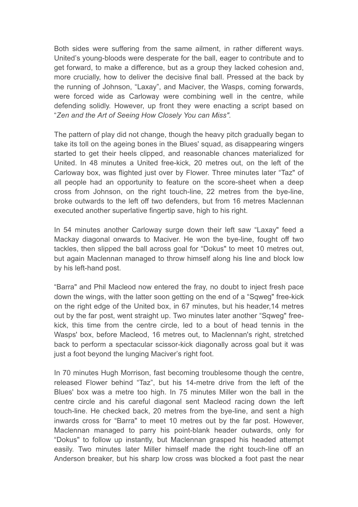Both sides were suffering from the same ailment, in rather different ways. United's young-bloods were desperate for the ball, eager to contribute and to get forward, to make a difference, but as a group they lacked cohesion and, more crucially, how to deliver the decisive final ball. Pressed at the back by the running of Johnson, "Laxay", and Maciver, the Wasps, coming forwards, were forced wide as Carloway were combining well in the centre, while defending solidly. However, up front they were enacting a script based on "*Zen and the Art of Seeing How Closely You can Miss".*

The pattern of play did not change, though the heavy pitch gradually began to take its toll on the ageing bones in the Blues' squad, as disappearing wingers started to get their heels clipped, and reasonable chances materialized for United. In 48 minutes a United free-kick, 20 metres out, on the left of the Carloway box, was flighted just over by Flower. Three minutes later "Taz" of all people had an opportunity to feature on the score-sheet when a deep cross from Johnson, on the right touch-line, 22 metres from the bye-line, broke outwards to the left off two defenders, but from 16 metres Maclennan executed another superlative fingertip save, high to his right.

In 54 minutes another Carloway surge down their left saw "Laxay" feed a Mackay diagonal onwards to Maciver. He won the bye-line, fought off two tackles, then slipped the ball across goal for "Dokus" to meet 10 metres out, but again Maclennan managed to throw himself along his line and block low by his left-hand post.

"Barra" and Phil Macleod now entered the fray, no doubt to inject fresh pace down the wings, with the latter soon getting on the end of a "Sqweg" free-kick on the right edge of the United box, in 67 minutes, but his header,14 metres out by the far post, went straight up. Two minutes later another "Sqweg" freekick, this time from the centre circle, led to a bout of head tennis in the Wasps' box, before Macleod, 16 metres out, to Maclennan's right, stretched back to perform a spectacular scissor-kick diagonally across goal but it was just a foot beyond the lunging Maciver's right foot.

In 70 minutes Hugh Morrison, fast becoming troublesome though the centre, released Flower behind "Taz", but his 14-metre drive from the left of the Blues' box was a metre too high. In 75 minutes Miller won the ball in the centre circle and his careful diagonal sent Macleod racing down the left touch-line. He checked back, 20 metres from the bye-line, and sent a high inwards cross for "Barra" to meet 10 metres out by the far post. However, Maclennan managed to parry his point-blank header outwards, only for "Dokus" to follow up instantly, but Maclennan grasped his headed attempt easily. Two minutes later Miller himself made the right touch-line off an Anderson breaker, but his sharp low cross was blocked a foot past the near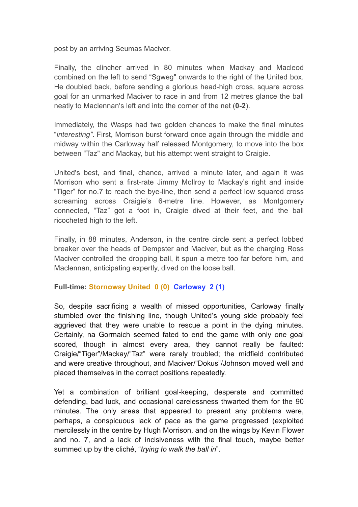post by an arriving Seumas Maciver.

Finally, the clincher arrived in 80 minutes when Mackay and Macleod combined on the left to send "Sgweg" onwards to the right of the United box. He doubled back, before sending a glorious head-high cross, square across goal for an unmarked Maciver to race in and from 12 metres glance the ball neatly to Maclennan's left and into the corner of the net (**0-2**).

Immediately, the Wasps had two golden chances to make the final minutes "*interesting"*. First, Morrison burst forward once again through the middle and midway within the Carloway half released Montgomery, to move into the box between "Taz" and Mackay, but his attempt went straight to Craigie.

United's best, and final, chance, arrived a minute later, and again it was Morrison who sent a first-rate Jimmy McIlroy to Mackay's right and inside "Tiger" for no.7 to reach the bye-line, then send a perfect low squared cross screaming across Craigie's 6-metre line. However, as Montgomery connected, "Taz" got a foot in, Craigie dived at their feet, and the ball ricocheted high to the left.

Finally, in 88 minutes, Anderson, in the centre circle sent a perfect lobbed breaker over the heads of Dempster and Maciver, but as the charging Ross Maciver controlled the dropping ball, it spun a metre too far before him, and Maclennan, anticipating expertly, dived on the loose ball.

## **Full-time: Stornoway United 0 (0) Carloway 2 (1)**

So, despite sacrificing a wealth of missed opportunities, Carloway finally stumbled over the finishing line, though United's young side probably feel aggrieved that they were unable to rescue a point in the dying minutes. Certainly, na Gormaich seemed fated to end the game with only one goal scored, though in almost every area, they cannot really be faulted: Craigie/"Tiger"/Mackay/"Taz" were rarely troubled; the midfield contributed and were creative throughout, and Maciver/"Dokus"/Johnson moved well and placed themselves in the correct positions repeatedly.

Yet a combination of brilliant goal-keeping, desperate and committed defending, bad luck, and occasional carelessness thwarted them for the 90 minutes. The only areas that appeared to present any problems were, perhaps, a conspicuous lack of pace as the game progressed (exploited mercilessly in the centre by Hugh Morrison, and on the wings by Kevin Flower and no. 7, and a lack of incisiveness with the final touch, maybe better summed up by the cliché, "*trying to walk the ball in*".